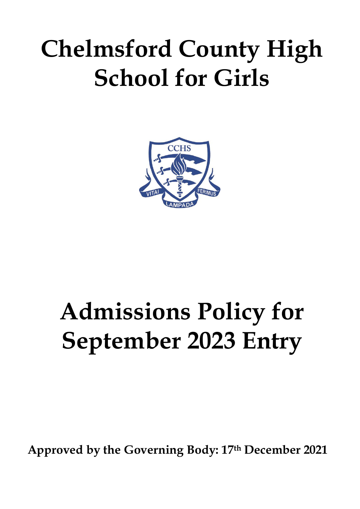## **Chelmsford County High School for Girls**



# **Admissions Policy for September 2023 Entry**

**Approved by the Governing Body: 17th December 2021**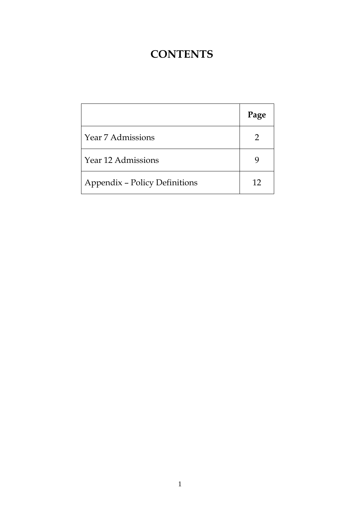### **CONTENTS**

|                                      | Page          |
|--------------------------------------|---------------|
| Year 7 Admissions                    | $\mathcal{D}$ |
| Year 12 Admissions                   |               |
| <b>Appendix - Policy Definitions</b> | 12            |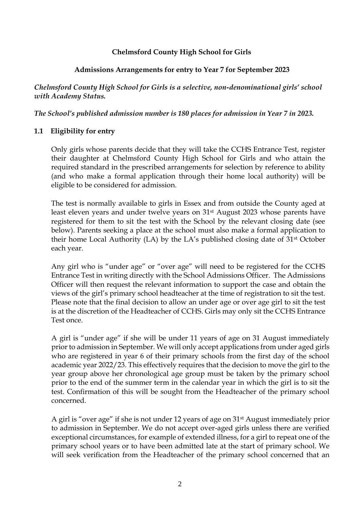#### **Chelmsford County High School for Girls**

#### **Admissions Arrangements for entry to Year 7 for September 2023**

*Chelmsford County High School for Girls is a selective, non-denominational girls' school with Academy Status.*

*The School's published admission number is 180 places for admission in Year 7 in 2023.* 

#### **1.1 Eligibility for entry**

Only girls whose parents decide that they will take the CCHS Entrance Test, register their daughter at Chelmsford County High School for Girls and who attain the required standard in the prescribed arrangements for selection by reference to ability (and who make a formal application through their home local authority) will be eligible to be considered for admission.

The test is normally available to girls in Essex and from outside the County aged at least eleven years and under twelve years on 31st August 2023 whose parents have registered for them to sit the test with the School by the relevant closing date (see below). Parents seeking a place at the school must also make a formal application to their home Local Authority (LA) by the LA's published closing date of 31st October each year.

Any girl who is "under age" or "over age" will need to be registered for the CCHS Entrance Test in writing directly with the School Admissions Officer. The Admissions Officer will then request the relevant information to support the case and obtain the views of the girl's primary school headteacher at the time of registration to sit the test. Please note that the final decision to allow an under age or over age girl to sit the test is at the discretion of the Headteacher of CCHS. Girls may only sit the CCHS Entrance Test once.

A girl is "under age" if she will be under 11 years of age on 31 August immediately prior to admission in September. We will only accept applications from under aged girls who are registered in year 6 of their primary schools from the first day of the school academic year 2022/23. This effectively requires that the decision to move the girl to the year group above her chronological age group must be taken by the primary school prior to the end of the summer term in the calendar year in which the girl is to sit the test. Confirmation of this will be sought from the Headteacher of the primary school concerned.

A girl is "over age" if she is not under 12 years of age on 31st August immediately prior to admission in September. We do not accept over-aged girls unless there are verified exceptional circumstances, for example of extended illness, for a girl to repeat one of the primary school years or to have been admitted late at the start of primary school. We will seek verification from the Headteacher of the primary school concerned that an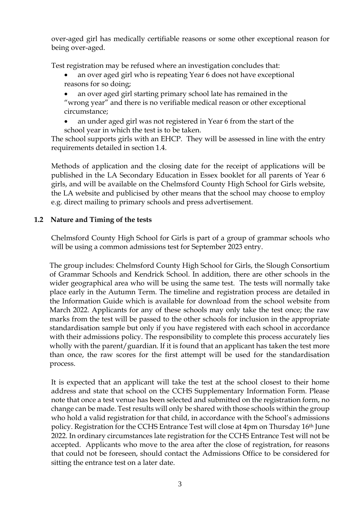over-aged girl has medically certifiable reasons or some other exceptional reason for being over-aged.

Test registration may be refused where an investigation concludes that:

an over aged girl who is repeating Year 6 does not have exceptional reasons for so doing;

• an over aged girl starting primary school late has remained in the "wrong year" and there is no verifiable medical reason or other exceptional circumstance;

• an under aged girl was not registered in Year 6 from the start of the school year in which the test is to be taken.

The school supports girls with an EHCP. They will be assessed in line with the entry requirements detailed in section 1.4.

Methods of application and the closing date for the receipt of applications will be published in the LA Secondary Education in Essex booklet for all parents of Year 6 girls, and will be available on the Chelmsford County High School for Girls website, the LA website and publicised by other means that the school may choose to employ e.g. direct mailing to primary schools and press advertisement.

#### **1.2 Nature and Timing of the tests**

Chelmsford County High School for Girls is part of a group of grammar schools who will be using a common admissions test for September 2023 entry.

The group includes: Chelmsford County High School for Girls, the Slough Consortium of Grammar Schools and Kendrick School. In addition, there are other schools in the wider geographical area who will be using the same test. The tests will normally take place early in the Autumn Term. The timeline and registration process are detailed in the Information Guide which is available for download from the school website from March 2022. Applicants for any of these schools may only take the test once; the raw marks from the test will be passed to the other schools for inclusion in the appropriate standardisation sample but only if you have registered with each school in accordance with their admissions policy. The responsibility to complete this process accurately lies wholly with the parent/guardian. If it is found that an applicant has taken the test more than once, the raw scores for the first attempt will be used for the standardisation process.

It is expected that an applicant will take the test at the school closest to their home address and state that school on the CCHS Supplementary Information Form. Please note that once a test venue has been selected and submitted on the registration form, no change can be made. Test results will only be shared with those schools within the group who hold a valid registration for that child, in accordance with the School's admissions policy. Registration for the CCHS Entrance Test will close at 4pm on Thursday 16th June 2022. In ordinary circumstances late registration for the CCHS Entrance Test will not be accepted. Applicants who move to the area after the close of registration, for reasons that could not be foreseen, should contact the Admissions Office to be considered for sitting the entrance test on a later date.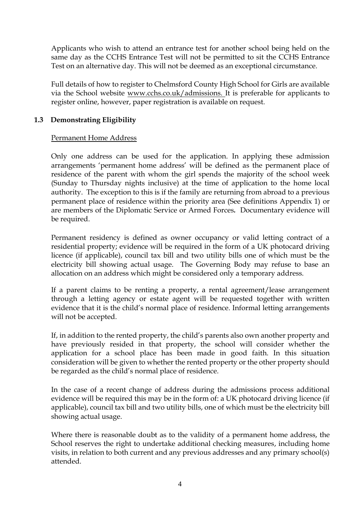Applicants who wish to attend an entrance test for another school being held on the same day as the CCHS Entrance Test will not be permitted to sit the CCHS Entrance Test on an alternative day. This will not be deemed as an exceptional circumstance.

Full details of how to register to Chelmsford County High School for Girls are available via the School website [www.cchs.co.uk/admissions. I](http://www.cchs.co.uk/admissions)t is preferable for applicants to register online, however, paper registration is available on request.

#### **1.3 Demonstrating Eligibility**

#### Permanent Home Address

Only one address can be used for the application. In applying these admission arrangements 'permanent home address' will be defined as the permanent place of residence of the parent with whom the girl spends the majority of the school week (Sunday to Thursday nights inclusive) at the time of application to the home local authority. The exception to this is if the family are returning from abroad to a previous permanent place of residence within the priority area (See definitions Appendix 1) or are members of the Diplomatic Service or Armed Forces*.* Documentary evidence will be required.

Permanent residency is defined as owner occupancy or valid letting contract of a residential property; evidence will be required in the form of a UK photocard driving licence (if applicable), council tax bill and two utility bills one of which must be the electricity bill showing actual usage. The Governing Body may refuse to base an allocation on an address which might be considered only a temporary address.

If a parent claims to be renting a property, a rental agreement/lease arrangement through a letting agency or estate agent will be requested together with written evidence that it is the child's normal place of residence. Informal letting arrangements will not be accepted.

If, in addition to the rented property, the child's parents also own another property and have previously resided in that property, the school will consider whether the application for a school place has been made in good faith. In this situation consideration will be given to whether the rented property or the other property should be regarded as the child's normal place of residence.

In the case of a recent change of address during the admissions process additional evidence will be required this may be in the form of: a UK photocard driving licence (if applicable), council tax bill and two utility bills, one of which must be the electricity bill showing actual usage.

Where there is reasonable doubt as to the validity of a permanent home address, the School reserves the right to undertake additional checking measures, including home visits, in relation to both current and any previous addresses and any primary school(s) attended.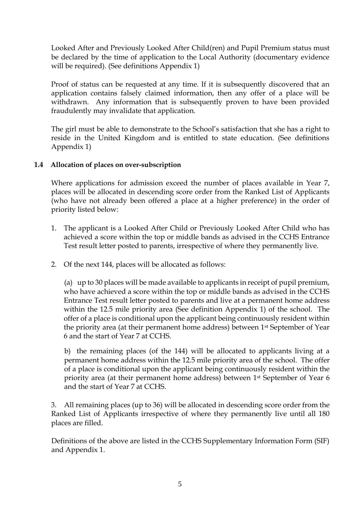Looked After and Previously Looked After Child(ren) and Pupil Premium status must be declared by the time of application to the Local Authority (documentary evidence will be required). (See definitions Appendix 1)

Proof of status can be requested at any time. If it is subsequently discovered that an application contains falsely claimed information, then any offer of a place will be withdrawn. Any information that is subsequently proven to have been provided fraudulently may invalidate that application.

The girl must be able to demonstrate to the School's satisfaction that she has a right to reside in the United Kingdom and is entitled to state education. (See definitions Appendix 1)

#### **1.4 Allocation of places on over-subscription**

Where applications for admission exceed the number of places available in Year 7, places will be allocated in descending score order from the Ranked List of Applicants (who have not already been offered a place at a higher preference) in the order of priority listed below:

- 1. The applicant is a Looked After Child or Previously Looked After Child who has achieved a score within the top or middle bands as advised in the CCHS Entrance Test result letter posted to parents, irrespective of where they permanently live.
- 2. Of the next 144, places will be allocated as follows:

(a) up to 30 places will be made available to applicants in receipt of pupil premium, who have achieved a score within the top or middle bands as advised in the CCHS Entrance Test result letter posted to parents and live at a permanent home address within the 12.5 mile priority area (See definition Appendix 1) of the school. The offer of a place is conditional upon the applicant being continuously resident within the priority area (at their permanent home address) between 1st September of Year 6 and the start of Year 7 at CCHS.

b) the remaining places (of the 144) will be allocated to applicants living at a permanent home address within the 12.5 mile priority area of the school. The offer of a place is conditional upon the applicant being continuously resident within the priority area (at their permanent home address) between 1st September of Year 6 and the start of Year 7 at CCHS.

3. All remaining places (up to 36) will be allocated in descending score order from the Ranked List of Applicants irrespective of where they permanently live until all 180 places are filled.

Definitions of the above are listed in the CCHS Supplementary Information Form (SIF) and Appendix 1.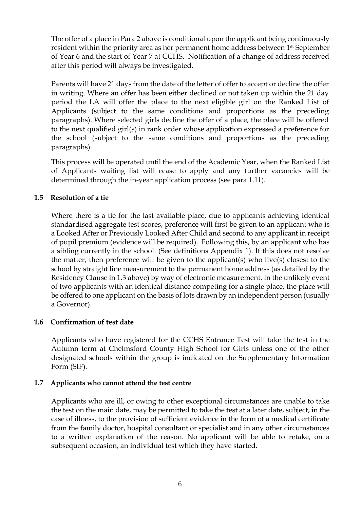The offer of a place in Para 2 above is conditional upon the applicant being continuously resident within the priority area as her permanent home address between 1st September of Year 6 and the start of Year 7 at CCHS. Notification of a change of address received after this period will always be investigated.

Parents will have 21 days from the date of the letter of offer to accept or decline the offer in writing. Where an offer has been either declined or not taken up within the 21 day period the LA will offer the place to the next eligible girl on the Ranked List of Applicants (subject to the same conditions and proportions as the preceding paragraphs). Where selected girls decline the offer of a place, the place will be offered to the next qualified girl(s) in rank order whose application expressed a preference for the school (subject to the same conditions and proportions as the preceding paragraphs).

This process will be operated until the end of the Academic Year, when the Ranked List of Applicants waiting list will cease to apply and any further vacancies will be determined through the in-year application process (see para 1.11).

#### **1.5 Resolution of a tie**

Where there is a tie for the last available place, due to applicants achieving identical standardised aggregate test scores, preference will first be given to an applicant who is a Looked After or Previously Looked After Child and second to any applicant in receipt of pupil premium (evidence will be required). Following this, by an applicant who has a sibling currently in the school. (See definitions Appendix 1). If this does not resolve the matter, then preference will be given to the applicant(s) who live(s) closest to the school by straight line measurement to the permanent home address (as detailed by the Residency Clause in 1.3 above) by way of electronic measurement. In the unlikely event of two applicants with an identical distance competing for a single place, the place will be offered to one applicant on the basis of lots drawn by an independent person (usually a Governor).

#### **1.6 Confirmation of test date**

Applicants who have registered for the CCHS Entrance Test will take the test in the Autumn term at Chelmsford County High School for Girls unless one of the other designated schools within the group is indicated on the Supplementary Information Form (SIF).

#### **1.7 Applicants who cannot attend the test centre**

Applicants who are ill, or owing to other exceptional circumstances are unable to take the test on the main date, may be permitted to take the test at a later date, subject, in the case of illness, to the provision of sufficient evidence in the form of a medical certificate from the family doctor, hospital consultant or specialist and in any other circumstances to a written explanation of the reason. No applicant will be able to retake, on a subsequent occasion, an individual test which they have started.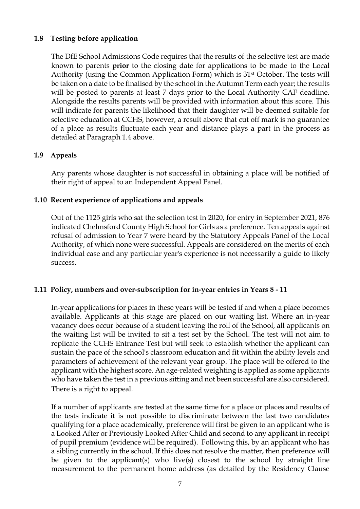#### **1.8 Testing before application**

The DfE School Admissions Code requires that the results of the selective test are made known to parents **prior** to the closing date for applications to be made to the Local Authority (using the Common Application Form) which is 31<sup>st</sup> October. The tests will be taken on a date to be finalised by the school in the Autumn Term each year; the results will be posted to parents at least 7 days prior to the Local Authority CAF deadline. Alongside the results parents will be provided with information about this score. This will indicate for parents the likelihood that their daughter will be deemed suitable for selective education at CCHS, however, a result above that cut off mark is no guarantee of a place as results fluctuate each year and distance plays a part in the process as detailed at Paragraph 1.4 above.

#### **1.9 Appeals**

Any parents whose daughter is not successful in obtaining a place will be notified of their right of appeal to an Independent Appeal Panel.

#### **1.10 Recent experience of applications and appeals**

Out of the 1125 girls who sat the selection test in 2020, for entry in September 2021, 876 indicated Chelmsford County High School for Girls as a preference. Ten appeals against refusal of admission to Year 7 were heard by the Statutory Appeals Panel of the Local Authority, of which none were successful. Appeals are considered on the merits of each individual case and any particular year's experience is not necessarily a guide to likely success.

#### **1.11 Policy, numbers and over-subscription for in-year entries in Years 8 - 11**

In-year applications for places in these years will be tested if and when a place becomes available. Applicants at this stage are placed on our waiting list. Where an in-year vacancy does occur because of a student leaving the roll of the School, all applicants on the waiting list will be invited to sit a test set by the School. The test will not aim to replicate the CCHS Entrance Test but will seek to establish whether the applicant can sustain the pace of the school's classroom education and fit within the ability levels and parameters of achievement of the relevant year group. The place will be offered to the applicant with the highest score. An age-related weighting is applied as some applicants who have taken the test in a previous sitting and not been successful are also considered. There is a right to appeal.

If a number of applicants are tested at the same time for a place or places and results of the tests indicate it is not possible to discriminate between the last two candidates qualifying for a place academically, preference will first be given to an applicant who is a Looked After or Previously Looked After Child and second to any applicant in receipt of pupil premium (evidence will be required). Following this, by an applicant who has a sibling currently in the school. If this does not resolve the matter, then preference will be given to the applicant(s) who live(s) closest to the school by straight line measurement to the permanent home address (as detailed by the Residency Clause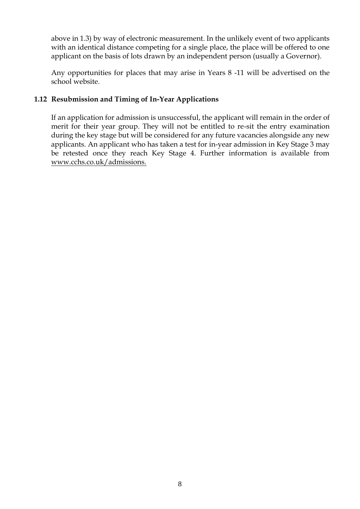above in 1.3) by way of electronic measurement. In the unlikely event of two applicants with an identical distance competing for a single place, the place will be offered to one applicant on the basis of lots drawn by an independent person (usually a Governor).

Any opportunities for places that may arise in Years 8 -11 will be advertised on the school website.

#### **1.12 Resubmission and Timing of In-Year Applications**

If an application for admission is unsuccessful, the applicant will remain in the order of merit for their year group. They will not be entitled to re-sit the entry examination during the key stage but will be considered for any future vacancies alongside any new applicants. An applicant who has taken a test for in-year admission in Key Stage 3 may be retested once they reach Key Stage 4. Further information is available from [www.cchs.co.uk/admissions.](http://www.cchs.co.uk/admissions)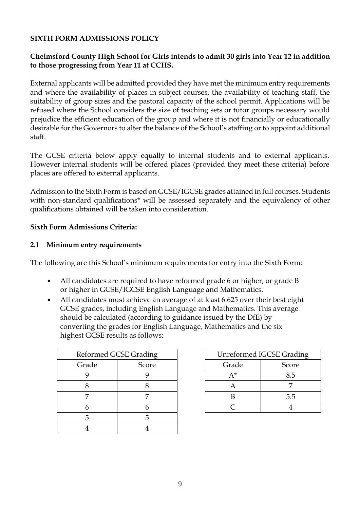#### **SIXTH FORM ADMISSIONS POLICY**

#### **Chelmsford County High School for Girls intends to admit 30 girls into Year 12 in addition to those progressing from Year 11 at CCHS.**

External applicants will be admitted provided they have met the minimum entry requirements and where the availability of places in subject courses, the availability of teaching staff, the suitability of group sizes and the pastoral capacity of the school permit. Applications will be refused where the School considers the size of teaching sets or tutor groups necessary would prejudice the efficient education of the group and where it is not financially or educationally desirable for the Governors to alter the balance of the School's staffing or to appoint additional staff.

The GCSE criteria below apply equally to internal students and to external applicants. However internal students will be offered places (provided they meet these criteria) before places are offered to external applicants.

Admission to the Sixth Form is based on GCSE/IGCSE grades attained in full courses. Students with non-standard qualifications<sup>\*</sup> will be assessed separately and the equivalency of other qualifications obtained will be taken into consideration.

#### **Sixth Form Admissions Criteria:**

#### **2.1 Minimum entry requirements**

The following are this School's minimum requirements for entry into the Sixth Form:

- All candidates are required to have reformed grade 6 or higher, or grade B or higher in GCSE/IGCSE English Language and Mathematics.
- All candidates must achieve an average of at least 6.625 over their best eight GCSE grades, including English Language and Mathematics. This average should be calculated (according to guidance issued by the DfE) by converting the grades for English Language, Mathematics and the six highest GCSE results as follows:

| Reformed GCSE Grading |       | Unreformed IGCSE Gradi |       |
|-----------------------|-------|------------------------|-------|
| Grade                 | Score | Grade                  | Score |
|                       |       | A*                     | 8.5   |
|                       |       | A                      |       |
|                       |       |                        | 5.5   |
|                       |       |                        |       |
|                       |       |                        |       |
|                       |       |                        |       |

| Reformed GCSE Grading |       | <b>Unreformed IGCSE Grading</b> |       |
|-----------------------|-------|---------------------------------|-------|
| Grade                 | Score | Grade                           | Score |
|                       |       | $A^*$                           | 8.5   |
|                       |       |                                 |       |
|                       |       |                                 | 5.5   |
|                       |       |                                 |       |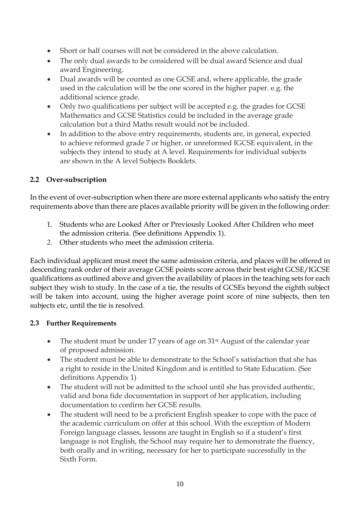- Short or half courses will not be considered in the above calculation.
- The only dual awards to be considered will be dual award Science and dual award Engineering.
- Dual awards will be counted as one GCSE and, where applicable, the grade used in the calculation will be the one scored in the higher paper. e.g. the additional science grade.
- Only two qualifications per subject will be accepted e.g. the grades for GCSE Mathematics and GCSE Statistics could be included in the average grade calculation but a third Maths result would not be included.
- In addition to the above entry requirements, students are, in general, expected to achieve reformed grade 7 or higher, or unreformed IGCSE equivalent, in the subjects they intend to study at A level. Requirements for individual subjects are shown in the A level Subjects Booklets.

#### **2.2 Over-subscription**

In the event of over-subscription when there are more external applicants who satisfy the entry requirements above than there are places available priority will be given in the following order:

- 1. Students who are Looked After or Previously Looked After Children who meet the admission criteria. (See definitions Appendix 1).
- *2.* Other students who meet the admission criteria.

Each individual applicant must meet the same admission criteria, and places will be offered in descending rank order of their average GCSE points score across their best eight GCSE/IGCSE qualifications as outlined above and given the availability of places in the teaching sets for each subject they wish to study. In the case of a tie, the results of GCSEs beyond the eighth subject will be taken into account, using the higher average point score of nine subjects, then ten subjects etc, until the tie is resolved.

#### **2.3 Further Requirements**

- The student must be under 17 years of age on 31<sup>st</sup> August of the calendar year of proposed admission.
- The student must be able to demonstrate to the School's satisfaction that she has a right to reside in the United Kingdom and is entitled to State Education. (See definitions Appendix 1)
- The student will not be admitted to the school until she has provided authentic, valid and bona fide documentation in support of her application, including documentation to confirm her GCSE results.
- The student will need to be a proficient English speaker to cope with the pace of the academic curriculum on offer at this school. With the exception of Modern Foreign language classes, lessons are taught in English so if a student's first language is not English, the School may require her to demonstrate the fluency, both orally and in writing, necessary for her to participate successfully in the Sixth Form.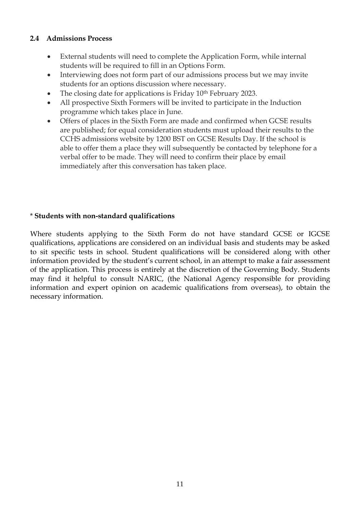#### **2.4 Admissions Process**

- External students will need to complete the Application Form, while internal students will be required to fill in an Options Form.
- Interviewing does not form part of our admissions process but we may invite students for an options discussion where necessary.
- The closing date for applications is Friday  $10<sup>th</sup>$  February 2023.
- All prospective Sixth Formers will be invited to participate in the Induction programme which takes place in June.
- Offers of places in the Sixth Form are made and confirmed when GCSE results are published; for equal consideration students must upload their results to the CCHS admissions website by 1200 BST on GCSE Results Day. If the school is able to offer them a place they will subsequently be contacted by telephone for a verbal offer to be made. They will need to confirm their place by email immediately after this conversation has taken place.

#### \* **Students with non-standard qualifications**

Where students applying to the Sixth Form do not have standard GCSE or IGCSE qualifications, applications are considered on an individual basis and students may be asked to sit specific tests in school. Student qualifications will be considered along with other information provided by the student's current school, in an attempt to make a fair assessment of the application. This process is entirely at the discretion of the Governing Body. Students may find it helpful to consult NARIC, (the National Agency responsible for providing information and expert opinion on academic qualifications from overseas), to obtain the necessary information.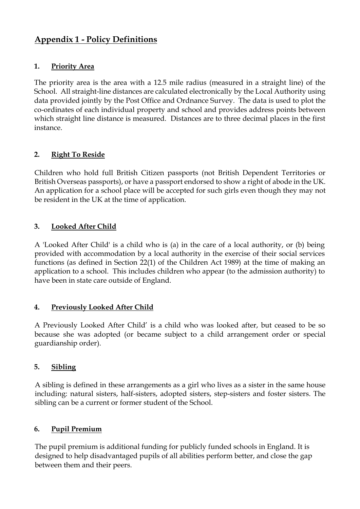### **Appendix 1 - Policy Definitions**

#### **1. Priority Area**

The priority area is the area with a 12.5 mile radius (measured in a straight line) of the School. All straight-line distances are calculated electronically by the Local Authority using data provided jointly by the Post Office and Ordnance Survey. The data is used to plot the co-ordinates of each individual property and school and provides address points between which straight line distance is measured. Distances are to three decimal places in the first instance.

#### **2. Right To Reside**

Children who hold full British Citizen passports (not British Dependent Territories or British Overseas passports), or have a passport endorsed to show a right of abode in the UK. An application for a school place will be accepted for such girls even though they may not be resident in the UK at the time of application.

#### **3. Looked After Child**

A 'Looked After Child' is a child who is (a) in the care of a local authority, or (b) being provided with accommodation by a local authority in the exercise of their social services functions (as defined in Section 22(1) of the Children Act 1989) at the time of making an application to a school. This includes children who appear (to the admission authority) to have been in state care outside of England.

#### **4. Previously Looked After Child**

A Previously Looked After Child' is a child who was looked after, but ceased to be so because she was adopted (or became subject to a child arrangement order or special guardianship order).

#### **5. Sibling**

A sibling is defined in these arrangements as a girl who lives as a sister in the same house including: natural sisters, half-sisters, adopted sisters, step-sisters and foster sisters. The sibling can be a current or former student of the School.

#### **6. Pupil Premium**

The pupil premium is additional funding for publicly funded schools in England. It is designed to help disadvantaged pupils of all abilities perform better, and close the gap between them and their peers.